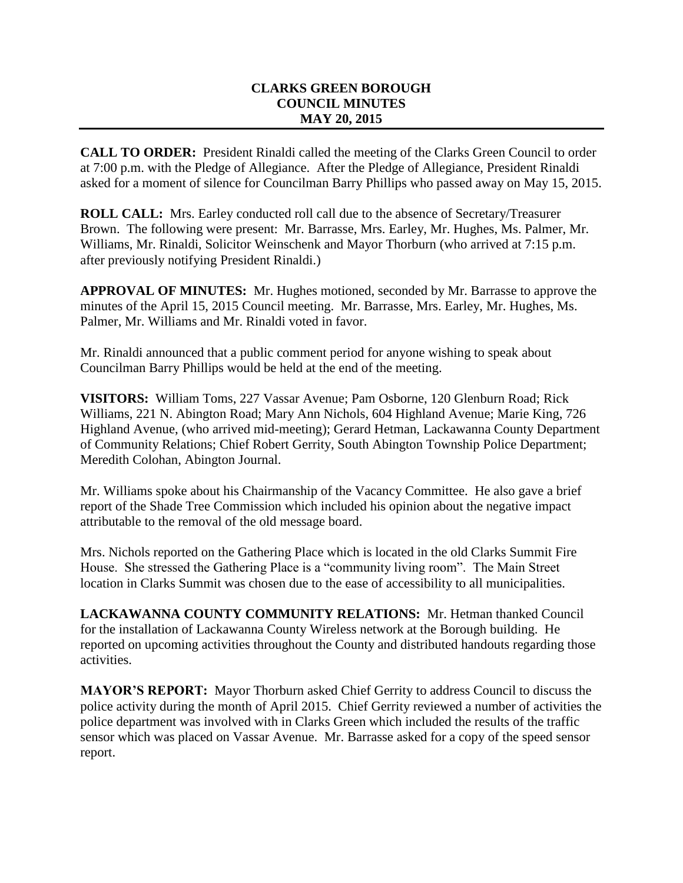## **CLARKS GREEN BOROUGH COUNCIL MINUTES MAY 20, 2015**

**CALL TO ORDER:** President Rinaldi called the meeting of the Clarks Green Council to order at 7:00 p.m. with the Pledge of Allegiance. After the Pledge of Allegiance, President Rinaldi asked for a moment of silence for Councilman Barry Phillips who passed away on May 15, 2015.

**ROLL CALL:** Mrs. Earley conducted roll call due to the absence of Secretary/Treasurer Brown. The following were present: Mr. Barrasse, Mrs. Earley, Mr. Hughes, Ms. Palmer, Mr. Williams, Mr. Rinaldi, Solicitor Weinschenk and Mayor Thorburn (who arrived at 7:15 p.m. after previously notifying President Rinaldi.)

**APPROVAL OF MINUTES:** Mr. Hughes motioned, seconded by Mr. Barrasse to approve the minutes of the April 15, 2015 Council meeting. Mr. Barrasse, Mrs. Earley, Mr. Hughes, Ms. Palmer, Mr. Williams and Mr. Rinaldi voted in favor.

Mr. Rinaldi announced that a public comment period for anyone wishing to speak about Councilman Barry Phillips would be held at the end of the meeting.

**VISITORS:** William Toms, 227 Vassar Avenue; Pam Osborne, 120 Glenburn Road; Rick Williams, 221 N. Abington Road; Mary Ann Nichols, 604 Highland Avenue; Marie King, 726 Highland Avenue, (who arrived mid-meeting); Gerard Hetman, Lackawanna County Department of Community Relations; Chief Robert Gerrity, South Abington Township Police Department; Meredith Colohan, Abington Journal.

Mr. Williams spoke about his Chairmanship of the Vacancy Committee. He also gave a brief report of the Shade Tree Commission which included his opinion about the negative impact attributable to the removal of the old message board.

Mrs. Nichols reported on the Gathering Place which is located in the old Clarks Summit Fire House. She stressed the Gathering Place is a "community living room". The Main Street location in Clarks Summit was chosen due to the ease of accessibility to all municipalities.

**LACKAWANNA COUNTY COMMUNITY RELATIONS:** Mr. Hetman thanked Council for the installation of Lackawanna County Wireless network at the Borough building. He reported on upcoming activities throughout the County and distributed handouts regarding those activities.

**MAYOR'S REPORT:** Mayor Thorburn asked Chief Gerrity to address Council to discuss the police activity during the month of April 2015. Chief Gerrity reviewed a number of activities the police department was involved with in Clarks Green which included the results of the traffic sensor which was placed on Vassar Avenue. Mr. Barrasse asked for a copy of the speed sensor report.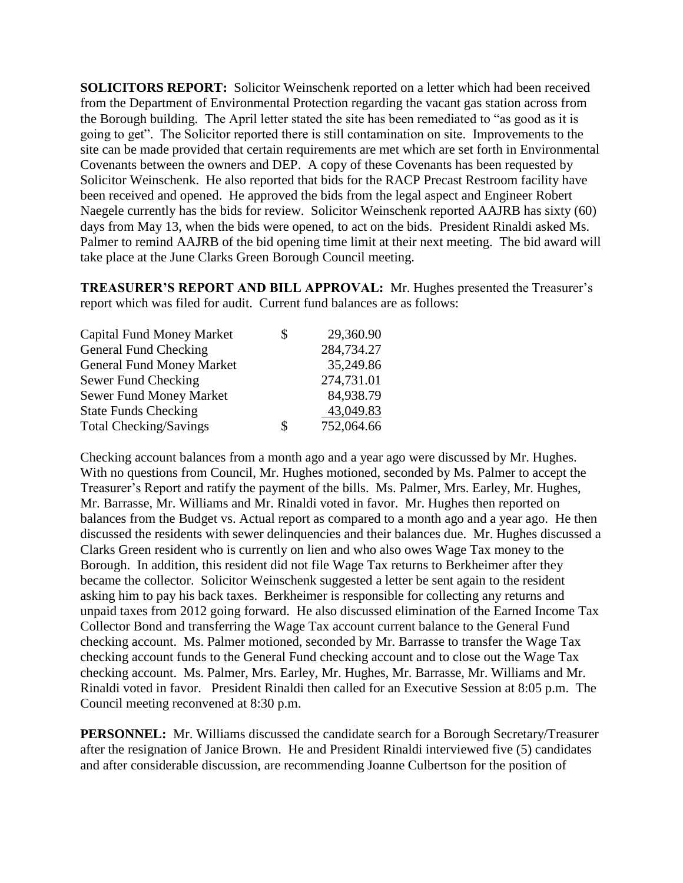**SOLICITORS REPORT:** Solicitor Weinschenk reported on a letter which had been received from the Department of Environmental Protection regarding the vacant gas station across from the Borough building. The April letter stated the site has been remediated to "as good as it is going to get". The Solicitor reported there is still contamination on site. Improvements to the site can be made provided that certain requirements are met which are set forth in Environmental Covenants between the owners and DEP. A copy of these Covenants has been requested by Solicitor Weinschenk. He also reported that bids for the RACP Precast Restroom facility have been received and opened. He approved the bids from the legal aspect and Engineer Robert Naegele currently has the bids for review. Solicitor Weinschenk reported AAJRB has sixty (60) days from May 13, when the bids were opened, to act on the bids. President Rinaldi asked Ms. Palmer to remind AAJRB of the bid opening time limit at their next meeting. The bid award will take place at the June Clarks Green Borough Council meeting.

**TREASURER'S REPORT AND BILL APPROVAL:** Mr. Hughes presented the Treasurer's report which was filed for audit. Current fund balances are as follows:

| <b>Capital Fund Money Market</b> | \$ | 29,360.90  |
|----------------------------------|----|------------|
| General Fund Checking            |    | 284,734.27 |
| <b>General Fund Money Market</b> |    | 35,249.86  |
| Sewer Fund Checking              |    | 274,731.01 |
| Sewer Fund Money Market          |    | 84,938.79  |
| <b>State Funds Checking</b>      |    | 43,049.83  |
| <b>Total Checking/Savings</b>    | S  | 752,064.66 |

Checking account balances from a month ago and a year ago were discussed by Mr. Hughes. With no questions from Council, Mr. Hughes motioned, seconded by Ms. Palmer to accept the Treasurer's Report and ratify the payment of the bills. Ms. Palmer, Mrs. Earley, Mr. Hughes, Mr. Barrasse, Mr. Williams and Mr. Rinaldi voted in favor. Mr. Hughes then reported on balances from the Budget vs. Actual report as compared to a month ago and a year ago. He then discussed the residents with sewer delinquencies and their balances due. Mr. Hughes discussed a Clarks Green resident who is currently on lien and who also owes Wage Tax money to the Borough. In addition, this resident did not file Wage Tax returns to Berkheimer after they became the collector. Solicitor Weinschenk suggested a letter be sent again to the resident asking him to pay his back taxes. Berkheimer is responsible for collecting any returns and unpaid taxes from 2012 going forward. He also discussed elimination of the Earned Income Tax Collector Bond and transferring the Wage Tax account current balance to the General Fund checking account. Ms. Palmer motioned, seconded by Mr. Barrasse to transfer the Wage Tax checking account funds to the General Fund checking account and to close out the Wage Tax checking account. Ms. Palmer, Mrs. Earley, Mr. Hughes, Mr. Barrasse, Mr. Williams and Mr. Rinaldi voted in favor. President Rinaldi then called for an Executive Session at 8:05 p.m. The Council meeting reconvened at 8:30 p.m.

**PERSONNEL:** Mr. Williams discussed the candidate search for a Borough Secretary/Treasurer after the resignation of Janice Brown. He and President Rinaldi interviewed five (5) candidates and after considerable discussion, are recommending Joanne Culbertson for the position of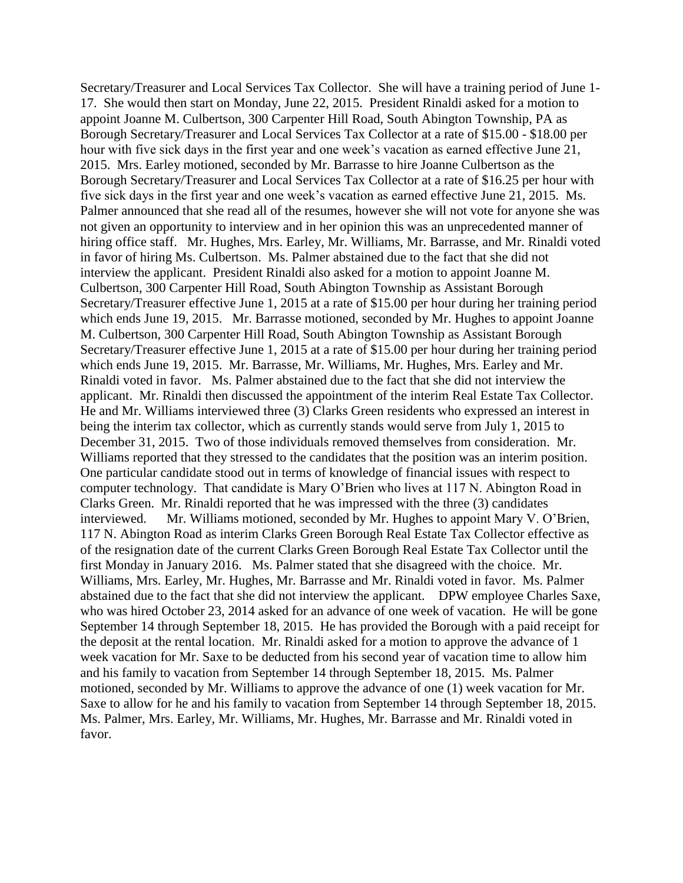Secretary/Treasurer and Local Services Tax Collector. She will have a training period of June 1- 17. She would then start on Monday, June 22, 2015. President Rinaldi asked for a motion to appoint Joanne M. Culbertson, 300 Carpenter Hill Road, South Abington Township, PA as Borough Secretary/Treasurer and Local Services Tax Collector at a rate of \$15.00 - \$18.00 per hour with five sick days in the first year and one week's vacation as earned effective June 21, 2015. Mrs. Earley motioned, seconded by Mr. Barrasse to hire Joanne Culbertson as the Borough Secretary/Treasurer and Local Services Tax Collector at a rate of \$16.25 per hour with five sick days in the first year and one week's vacation as earned effective June 21, 2015. Ms. Palmer announced that she read all of the resumes, however she will not vote for anyone she was not given an opportunity to interview and in her opinion this was an unprecedented manner of hiring office staff. Mr. Hughes, Mrs. Earley, Mr. Williams, Mr. Barrasse, and Mr. Rinaldi voted in favor of hiring Ms. Culbertson. Ms. Palmer abstained due to the fact that she did not interview the applicant. President Rinaldi also asked for a motion to appoint Joanne M. Culbertson, 300 Carpenter Hill Road, South Abington Township as Assistant Borough Secretary/Treasurer effective June 1, 2015 at a rate of \$15.00 per hour during her training period which ends June 19, 2015. Mr. Barrasse motioned, seconded by Mr. Hughes to appoint Joanne M. Culbertson, 300 Carpenter Hill Road, South Abington Township as Assistant Borough Secretary/Treasurer effective June 1, 2015 at a rate of \$15.00 per hour during her training period which ends June 19, 2015. Mr. Barrasse, Mr. Williams, Mr. Hughes, Mrs. Earley and Mr. Rinaldi voted in favor. Ms. Palmer abstained due to the fact that she did not interview the applicant. Mr. Rinaldi then discussed the appointment of the interim Real Estate Tax Collector. He and Mr. Williams interviewed three (3) Clarks Green residents who expressed an interest in being the interim tax collector, which as currently stands would serve from July 1, 2015 to December 31, 2015. Two of those individuals removed themselves from consideration. Mr. Williams reported that they stressed to the candidates that the position was an interim position. One particular candidate stood out in terms of knowledge of financial issues with respect to computer technology. That candidate is Mary O'Brien who lives at 117 N. Abington Road in Clarks Green. Mr. Rinaldi reported that he was impressed with the three (3) candidates interviewed. Mr. Williams motioned, seconded by Mr. Hughes to appoint Mary V. O'Brien, 117 N. Abington Road as interim Clarks Green Borough Real Estate Tax Collector effective as of the resignation date of the current Clarks Green Borough Real Estate Tax Collector until the first Monday in January 2016. Ms. Palmer stated that she disagreed with the choice. Mr. Williams, Mrs. Earley, Mr. Hughes, Mr. Barrasse and Mr. Rinaldi voted in favor. Ms. Palmer abstained due to the fact that she did not interview the applicant. DPW employee Charles Saxe, who was hired October 23, 2014 asked for an advance of one week of vacation. He will be gone September 14 through September 18, 2015. He has provided the Borough with a paid receipt for the deposit at the rental location. Mr. Rinaldi asked for a motion to approve the advance of 1 week vacation for Mr. Saxe to be deducted from his second year of vacation time to allow him and his family to vacation from September 14 through September 18, 2015. Ms. Palmer motioned, seconded by Mr. Williams to approve the advance of one (1) week vacation for Mr. Saxe to allow for he and his family to vacation from September 14 through September 18, 2015. Ms. Palmer, Mrs. Earley, Mr. Williams, Mr. Hughes, Mr. Barrasse and Mr. Rinaldi voted in favor.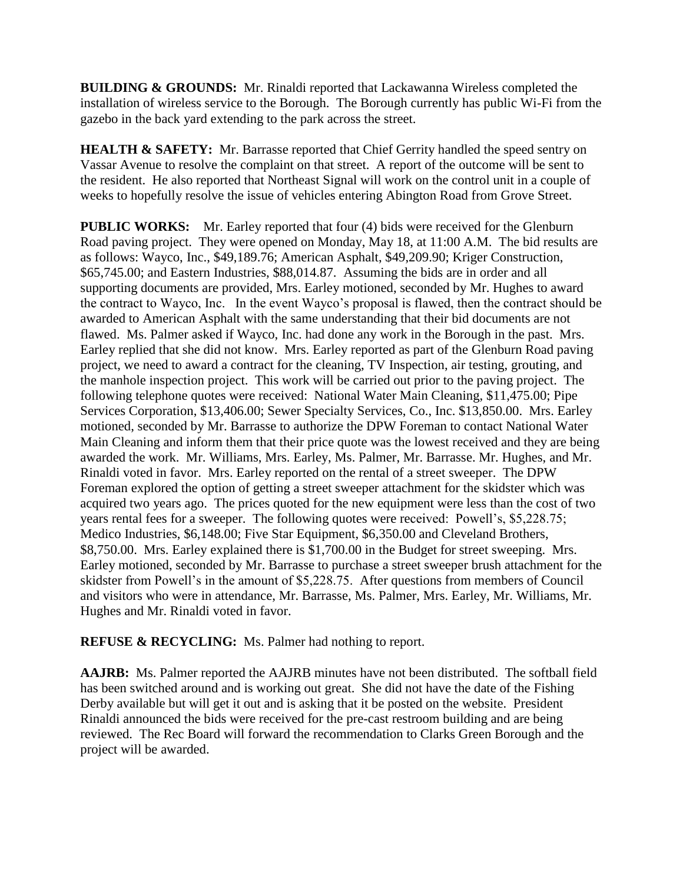**BUILDING & GROUNDS:** Mr. Rinaldi reported that Lackawanna Wireless completed the installation of wireless service to the Borough. The Borough currently has public Wi-Fi from the gazebo in the back yard extending to the park across the street.

**HEALTH & SAFETY:** Mr. Barrasse reported that Chief Gerrity handled the speed sentry on Vassar Avenue to resolve the complaint on that street. A report of the outcome will be sent to the resident. He also reported that Northeast Signal will work on the control unit in a couple of weeks to hopefully resolve the issue of vehicles entering Abington Road from Grove Street.

**PUBLIC WORKS:** Mr. Earley reported that four (4) bids were received for the Glenburn Road paving project. They were opened on Monday, May 18, at 11:00 A.M. The bid results are as follows: Wayco, Inc., \$49,189.76; American Asphalt, \$49,209.90; Kriger Construction, \$65,745.00; and Eastern Industries, \$88,014.87. Assuming the bids are in order and all supporting documents are provided, Mrs. Earley motioned, seconded by Mr. Hughes to award the contract to Wayco, Inc. In the event Wayco's proposal is flawed, then the contract should be awarded to American Asphalt with the same understanding that their bid documents are not flawed. Ms. Palmer asked if Wayco, Inc. had done any work in the Borough in the past. Mrs. Earley replied that she did not know. Mrs. Earley reported as part of the Glenburn Road paving project, we need to award a contract for the cleaning, TV Inspection, air testing, grouting, and the manhole inspection project. This work will be carried out prior to the paving project. The following telephone quotes were received: National Water Main Cleaning, \$11,475.00; Pipe Services Corporation, \$13,406.00; Sewer Specialty Services, Co., Inc. \$13,850.00. Mrs. Earley motioned, seconded by Mr. Barrasse to authorize the DPW Foreman to contact National Water Main Cleaning and inform them that their price quote was the lowest received and they are being awarded the work. Mr. Williams, Mrs. Earley, Ms. Palmer, Mr. Barrasse. Mr. Hughes, and Mr. Rinaldi voted in favor. Mrs. Earley reported on the rental of a street sweeper. The DPW Foreman explored the option of getting a street sweeper attachment for the skidster which was acquired two years ago. The prices quoted for the new equipment were less than the cost of two years rental fees for a sweeper. The following quotes were received: Powell's, \$5,228.75; Medico Industries, \$6,148.00; Five Star Equipment, \$6,350.00 and Cleveland Brothers, \$8,750.00. Mrs. Earley explained there is \$1,700.00 in the Budget for street sweeping. Mrs. Earley motioned, seconded by Mr. Barrasse to purchase a street sweeper brush attachment for the skidster from Powell's in the amount of \$5,228.75. After questions from members of Council and visitors who were in attendance, Mr. Barrasse, Ms. Palmer, Mrs. Earley, Mr. Williams, Mr. Hughes and Mr. Rinaldi voted in favor.

**REFUSE & RECYCLING:** Ms. Palmer had nothing to report.

**AAJRB:** Ms. Palmer reported the AAJRB minutes have not been distributed. The softball field has been switched around and is working out great. She did not have the date of the Fishing Derby available but will get it out and is asking that it be posted on the website. President Rinaldi announced the bids were received for the pre-cast restroom building and are being reviewed. The Rec Board will forward the recommendation to Clarks Green Borough and the project will be awarded.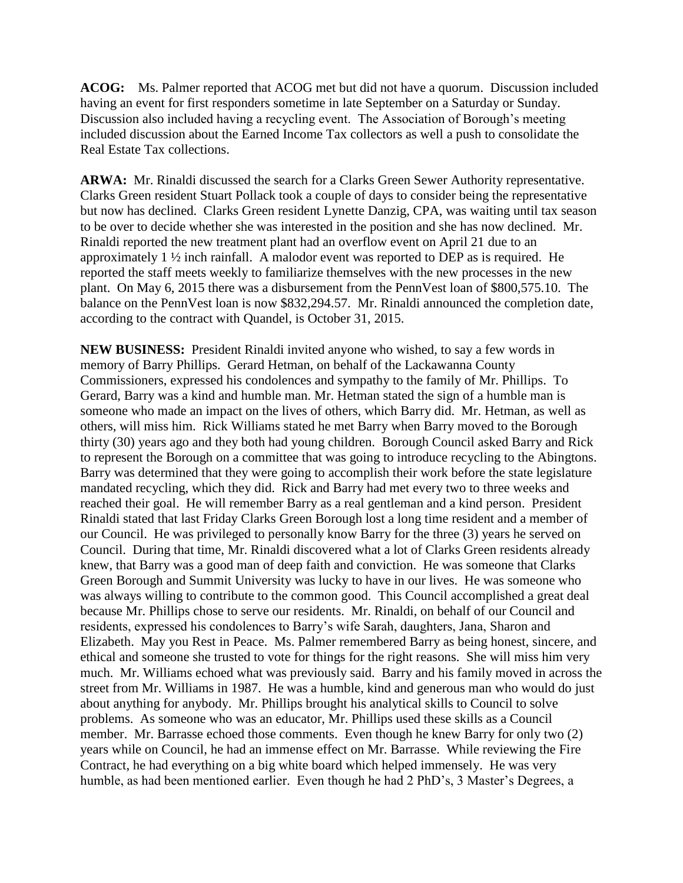**ACOG:** Ms. Palmer reported that ACOG met but did not have a quorum. Discussion included having an event for first responders sometime in late September on a Saturday or Sunday. Discussion also included having a recycling event. The Association of Borough's meeting included discussion about the Earned Income Tax collectors as well a push to consolidate the Real Estate Tax collections.

**ARWA:** Mr. Rinaldi discussed the search for a Clarks Green Sewer Authority representative. Clarks Green resident Stuart Pollack took a couple of days to consider being the representative but now has declined. Clarks Green resident Lynette Danzig, CPA, was waiting until tax season to be over to decide whether she was interested in the position and she has now declined. Mr. Rinaldi reported the new treatment plant had an overflow event on April 21 due to an approximately 1 ½ inch rainfall. A malodor event was reported to DEP as is required. He reported the staff meets weekly to familiarize themselves with the new processes in the new plant. On May 6, 2015 there was a disbursement from the PennVest loan of \$800,575.10. The balance on the PennVest loan is now \$832,294.57. Mr. Rinaldi announced the completion date, according to the contract with Quandel, is October 31, 2015.

**NEW BUSINESS:** President Rinaldi invited anyone who wished, to say a few words in memory of Barry Phillips. Gerard Hetman, on behalf of the Lackawanna County Commissioners, expressed his condolences and sympathy to the family of Mr. Phillips. To Gerard, Barry was a kind and humble man. Mr. Hetman stated the sign of a humble man is someone who made an impact on the lives of others, which Barry did. Mr. Hetman, as well as others, will miss him. Rick Williams stated he met Barry when Barry moved to the Borough thirty (30) years ago and they both had young children. Borough Council asked Barry and Rick to represent the Borough on a committee that was going to introduce recycling to the Abingtons. Barry was determined that they were going to accomplish their work before the state legislature mandated recycling, which they did. Rick and Barry had met every two to three weeks and reached their goal. He will remember Barry as a real gentleman and a kind person. President Rinaldi stated that last Friday Clarks Green Borough lost a long time resident and a member of our Council. He was privileged to personally know Barry for the three (3) years he served on Council. During that time, Mr. Rinaldi discovered what a lot of Clarks Green residents already knew, that Barry was a good man of deep faith and conviction. He was someone that Clarks Green Borough and Summit University was lucky to have in our lives. He was someone who was always willing to contribute to the common good. This Council accomplished a great deal because Mr. Phillips chose to serve our residents. Mr. Rinaldi, on behalf of our Council and residents, expressed his condolences to Barry's wife Sarah, daughters, Jana, Sharon and Elizabeth. May you Rest in Peace. Ms. Palmer remembered Barry as being honest, sincere, and ethical and someone she trusted to vote for things for the right reasons. She will miss him very much. Mr. Williams echoed what was previously said. Barry and his family moved in across the street from Mr. Williams in 1987. He was a humble, kind and generous man who would do just about anything for anybody. Mr. Phillips brought his analytical skills to Council to solve problems. As someone who was an educator, Mr. Phillips used these skills as a Council member. Mr. Barrasse echoed those comments. Even though he knew Barry for only two (2) years while on Council, he had an immense effect on Mr. Barrasse. While reviewing the Fire Contract, he had everything on a big white board which helped immensely. He was very humble, as had been mentioned earlier. Even though he had 2 PhD's, 3 Master's Degrees, a